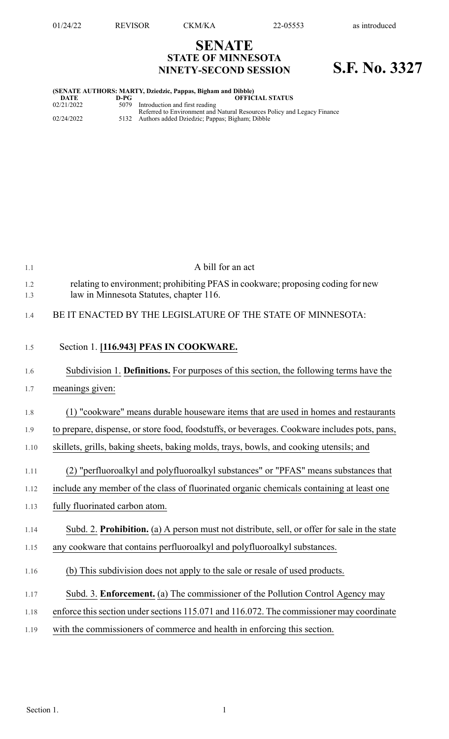## **SENATE STATE OF MINNESOTA NINETY-SECOND SESSION S.F. No. 3327**

## **(SENATE AUTHORS: MARTY, Dziedzic, Pappas, Bigham and Dibble) DATE D-PG OFFICIAL STATUS**

| 02/21/2022 | 5079 Introduction and first reading                                                                                            |
|------------|--------------------------------------------------------------------------------------------------------------------------------|
| 02/24/2022 | Referred to Environment and Natural Resources Policy and Legacy Finance<br>5132 Authors added Dziedzic; Pappas; Bigham; Dibble |
|            |                                                                                                                                |

| 1.1        | A bill for an act                                                                                                          |
|------------|----------------------------------------------------------------------------------------------------------------------------|
| 1.2<br>1.3 | relating to environment; prohibiting PFAS in cookware; proposing coding for new<br>law in Minnesota Statutes, chapter 116. |
| 1.4        | BE IT ENACTED BY THE LEGISLATURE OF THE STATE OF MINNESOTA:                                                                |
| 1.5        | Section 1. [116.943] PFAS IN COOKWARE.                                                                                     |
| 1.6        | Subdivision 1. Definitions. For purposes of this section, the following terms have the                                     |
| 1.7        | meanings given:                                                                                                            |
| 1.8        | (1) "cookware" means durable houseware items that are used in homes and restaurants                                        |
| 1.9        | to prepare, dispense, or store food, foodstuffs, or beverages. Cookware includes pots, pans,                               |
| 1.10       | skillets, grills, baking sheets, baking molds, trays, bowls, and cooking utensils; and                                     |
| 1.11       | (2) "perfluoroalkyl and polyfluoroalkyl substances" or "PFAS" means substances that                                        |
| 1.12       | include any member of the class of fluorinated organic chemicals containing at least one                                   |
| 1.13       | fully fluorinated carbon atom.                                                                                             |
| 1.14       | Subd. 2. Prohibition. (a) A person must not distribute, sell, or offer for sale in the state                               |
| 1.15       | any cookware that contains perfluoroalkyl and polyfluoroalkyl substances.                                                  |
| 1.16       | (b) This subdivision does not apply to the sale or resale of used products.                                                |
| 1.17       | Subd. 3. Enforcement. (a) The commissioner of the Pollution Control Agency may                                             |
| 1.18       | enforce this section under sections 115.071 and 116.072. The commissioner may coordinate                                   |
| 1.19       | with the commissioners of commerce and health in enforcing this section.                                                   |